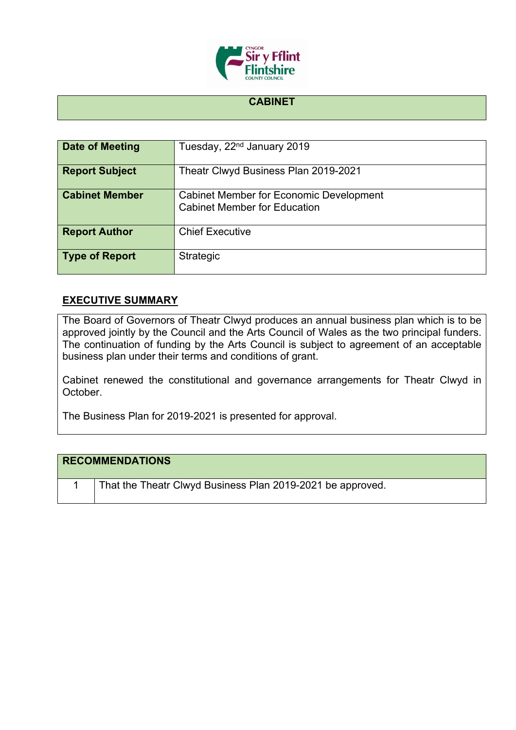

## **CABINET**

| <b>Date of Meeting</b> | Tuesday, 22 <sup>nd</sup> January 2019                                                |
|------------------------|---------------------------------------------------------------------------------------|
| <b>Report Subject</b>  | Theatr Clwyd Business Plan 2019-2021                                                  |
| <b>Cabinet Member</b>  | <b>Cabinet Member for Economic Development</b><br><b>Cabinet Member for Education</b> |
| <b>Report Author</b>   | <b>Chief Executive</b>                                                                |
| <b>Type of Report</b>  | Strategic                                                                             |

## **EXECUTIVE SUMMARY**

The Board of Governors of Theatr Clwyd produces an annual business plan which is to be approved jointly by the Council and the Arts Council of Wales as the two principal funders. The continuation of funding by the Arts Council is subject to agreement of an acceptable business plan under their terms and conditions of grant.

Cabinet renewed the constitutional and governance arrangements for Theatr Clwyd in October.

The Business Plan for 2019-2021 is presented for approval.

## **RECOMMENDATIONS**

1 | That the Theatr Clwyd Business Plan 2019-2021 be approved.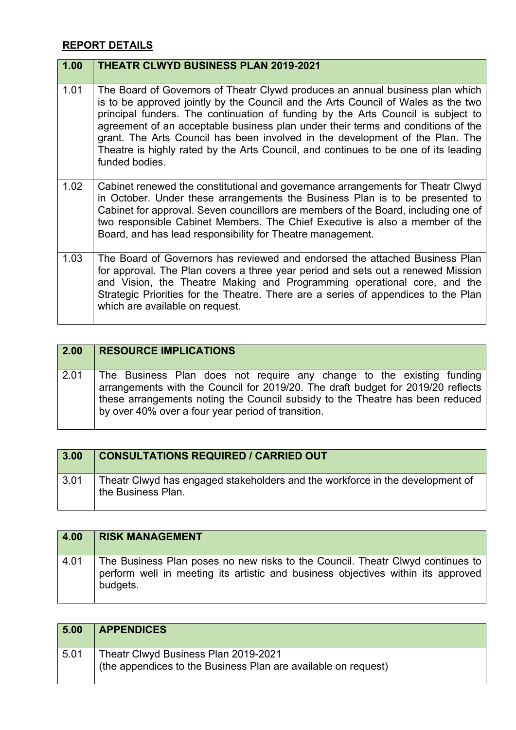## **REPORT DETAILS**

| 1.00 | <b>THEATR CLWYD BUSINESS PLAN 2019-2021</b>                                                                                                                                                                                                                                                                                                                                                                                                                                                                                          |
|------|--------------------------------------------------------------------------------------------------------------------------------------------------------------------------------------------------------------------------------------------------------------------------------------------------------------------------------------------------------------------------------------------------------------------------------------------------------------------------------------------------------------------------------------|
| 1.01 | The Board of Governors of Theatr Clywd produces an annual business plan which<br>is to be approved jointly by the Council and the Arts Council of Wales as the two<br>principal funders. The continuation of funding by the Arts Council is subject to<br>agreement of an acceptable business plan under their terms and conditions of the<br>grant. The Arts Council has been involved in the development of the Plan. The<br>Theatre is highly rated by the Arts Council, and continues to be one of its leading<br>funded bodies. |
| 1.02 | Cabinet renewed the constitutional and governance arrangements for Theatr Clwyd<br>in October. Under these arrangements the Business Plan is to be presented to<br>Cabinet for approval. Seven councillors are members of the Board, including one of<br>two responsible Cabinet Members. The Chief Executive is also a member of the<br>Board, and has lead responsibility for Theatre management.                                                                                                                                  |
| 1.03 | The Board of Governors has reviewed and endorsed the attached Business Plan<br>for approval. The Plan covers a three year period and sets out a renewed Mission<br>and Vision, the Theatre Making and Programming operational core, and the<br>Strategic Priorities for the Theatre. There are a series of appendices to the Plan<br>which are available on request.                                                                                                                                                                 |

| $\vert 2.00 \vert$ | <b>RESOURCE IMPLICATIONS</b>                                                                                                                                                                                                                                                                     |
|--------------------|--------------------------------------------------------------------------------------------------------------------------------------------------------------------------------------------------------------------------------------------------------------------------------------------------|
| 2.01               | The Business Plan does not require any change to the existing funding<br>arrangements with the Council for 2019/20. The draft budget for 2019/20 reflects<br>these arrangements noting the Council subsidy to the Theatre has been reduced<br>by over 40% over a four year period of transition. |

| 3.00 | <b>CONSULTATIONS REQUIRED / CARRIED OUT</b>                                                         |
|------|-----------------------------------------------------------------------------------------------------|
| 3.01 | Theatr Clwyd has engaged stakeholders and the workforce in the development of<br>the Business Plan. |

| 4.00 | <b>RISK MANAGEMENT</b>                                                                                                                                                         |
|------|--------------------------------------------------------------------------------------------------------------------------------------------------------------------------------|
| 4.01 | The Business Plan poses no new risks to the Council. Theatr Clwyd continues to<br>perform well in meeting its artistic and business objectives within its approved<br>budgets. |

| 5.00 | <b>APPENDICES</b>                                                                                      |
|------|--------------------------------------------------------------------------------------------------------|
| 5.01 | Theatr Clwyd Business Plan 2019-2021<br>(the appendices to the Business Plan are available on request) |